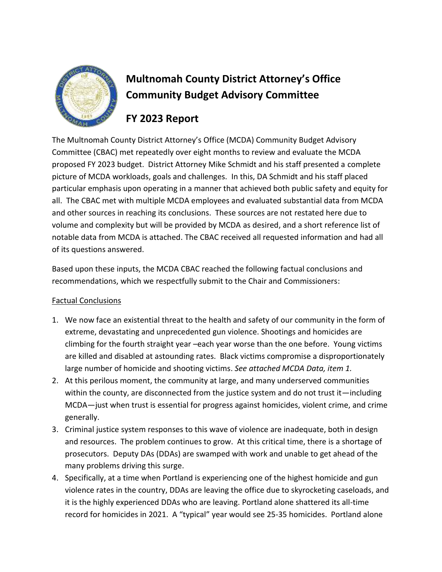

# **Multnomah County District Attorney's Office Community Budget Advisory Committee**

# **FY 2023 Report**

The Multnomah County District Attorney's Office (MCDA) Community Budget Advisory Committee (CBAC) met repeatedly over eight months to review and evaluate the MCDA proposed FY 2023 budget. District Attorney Mike Schmidt and his staff presented a complete picture of MCDA workloads, goals and challenges. In this, DA Schmidt and his staff placed particular emphasis upon operating in a manner that achieved both public safety and equity for all. The CBAC met with multiple MCDA employees and evaluated substantial data from MCDA and other sources in reaching its conclusions. These sources are not restated here due to volume and complexity but will be provided by MCDA as desired, and a short reference list of notable data from MCDA is attached. The CBAC received all requested information and had all of its questions answered.

Based upon these inputs, the MCDA CBAC reached the following factual conclusions and recommendations, which we respectfully submit to the Chair and Commissioners:

### Factual Conclusions

- 1. We now face an existential threat to the health and safety of our community in the form of extreme, devastating and unprecedented gun violence. Shootings and homicides are climbing for the fourth straight year –each year worse than the one before. Young victims are killed and disabled at astounding rates. Black victims compromise a disproportionately large number of homicide and shooting victims. *See attached MCDA Data, item 1.*
- 2. At this perilous moment, the community at large, and many underserved communities within the county, are disconnected from the justice system and do not trust it—including MCDA—just when trust is essential for progress against homicides, violent crime, and crime generally.
- 3. Criminal justice system responses to this wave of violence are inadequate, both in design and resources. The problem continues to grow. At this critical time, there is a shortage of prosecutors. Deputy DAs (DDAs) are swamped with work and unable to get ahead of the many problems driving this surge.
- 4. Specifically, at a time when Portland is experiencing one of the highest homicide and gun violence rates in the country, DDAs are leaving the office due to skyrocketing caseloads, and it is the highly experienced DDAs who are leaving. Portland alone shattered its all-time record for homicides in 2021. A "typical" year would see 25-35 homicides. Portland alone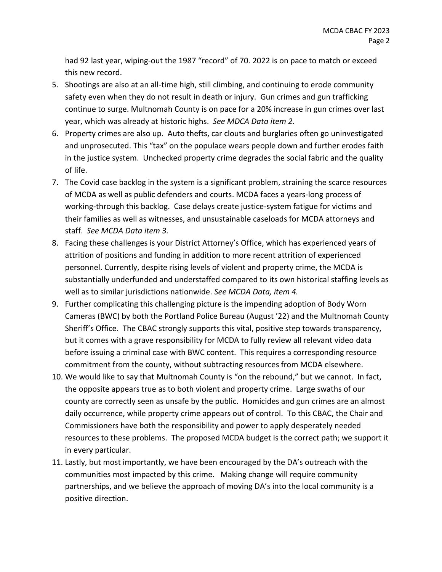had 92 last year, wiping-out the 1987 "record" of 70. 2022 is on pace to match or exceed this new record.

- 5. Shootings are also at an all-time high, still climbing, and continuing to erode community safety even when they do not result in death or injury. Gun crimes and gun trafficking continue to surge. Multnomah County is on pace for a 20% increase in gun crimes over last year, which was already at historic highs. *See MDCA Data item 2.*
- 6. Property crimes are also up. Auto thefts, car clouts and burglaries often go uninvestigated and unprosecuted. This "tax" on the populace wears people down and further erodes faith in the justice system. Unchecked property crime degrades the social fabric and the quality of life.
- 7. The Covid case backlog in the system is a significant problem, straining the scarce resources of MCDA as well as public defenders and courts. MCDA faces a years-long process of working-through this backlog. Case delays create justice-system fatigue for victims and their families as well as witnesses, and unsustainable caseloads for MCDA attorneys and staff. *See MCDA Data item 3.*
- 8. Facing these challenges is your District Attorney's Office, which has experienced years of attrition of positions and funding in addition to more recent attrition of experienced personnel. Currently, despite rising levels of violent and property crime, the MCDA is substantially underfunded and understaffed compared to its own historical staffing levels as well as to similar jurisdictions nationwide. *See MCDA Data, item 4.*
- 9. Further complicating this challenging picture is the impending adoption of Body Worn Cameras (BWC) by both the Portland Police Bureau (August '22) and the Multnomah County Sheriff's Office. The CBAC strongly supports this vital, positive step towards transparency, but it comes with a grave responsibility for MCDA to fully review all relevant video data before issuing a criminal case with BWC content. This requires a corresponding resource commitment from the county, without subtracting resources from MCDA elsewhere.
- 10. We would like to say that Multnomah County is "on the rebound," but we cannot. In fact, the opposite appears true as to both violent and property crime. Large swaths of our county are correctly seen as unsafe by the public. Homicides and gun crimes are an almost daily occurrence, while property crime appears out of control. To this CBAC, the Chair and Commissioners have both the responsibility and power to apply desperately needed resources to these problems. The proposed MCDA budget is the correct path; we support it in every particular.
- 11. Lastly, but most importantly, we have been encouraged by the DA's outreach with the communities most impacted by this crime. Making change will require community partnerships, and we believe the approach of moving DA's into the local community is a positive direction.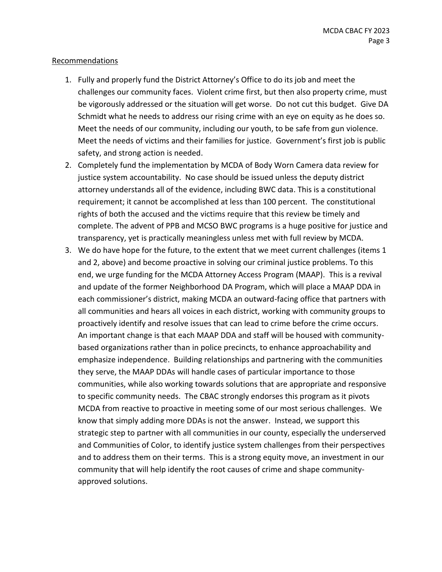#### Recommendations

- 1. Fully and properly fund the District Attorney's Office to do its job and meet the challenges our community faces. Violent crime first, but then also property crime, must be vigorously addressed or the situation will get worse. Do not cut this budget. Give DA Schmidt what he needs to address our rising crime with an eye on equity as he does so. Meet the needs of our community, including our youth, to be safe from gun violence. Meet the needs of victims and their families for justice. Government's first job is public safety, and strong action is needed.
- 2. Completely fund the implementation by MCDA of Body Worn Camera data review for justice system accountability. No case should be issued unless the deputy district attorney understands all of the evidence, including BWC data. This is a constitutional requirement; it cannot be accomplished at less than 100 percent. The constitutional rights of both the accused and the victims require that this review be timely and complete. The advent of PPB and MCSO BWC programs is a huge positive for justice and transparency, yet is practically meaningless unless met with full review by MCDA.
- 3. We do have hope for the future, to the extent that we meet current challenges (items 1 and 2, above) and become proactive in solving our criminal justice problems. To this end, we urge funding for the MCDA Attorney Access Program (MAAP). This is a revival and update of the former Neighborhood DA Program, which will place a MAAP DDA in each commissioner's district, making MCDA an outward-facing office that partners with all communities and hears all voices in each district, working with community groups to proactively identify and resolve issues that can lead to crime before the crime occurs. An important change is that each MAAP DDA and staff will be housed with communitybased organizations rather than in police precincts, to enhance approachability and emphasize independence. Building relationships and partnering with the communities they serve, the MAAP DDAs will handle cases of particular importance to those communities, while also working towards solutions that are appropriate and responsive to specific community needs. The CBAC strongly endorses this program as it pivots MCDA from reactive to proactive in meeting some of our most serious challenges. We know that simply adding more DDAs is not the answer. Instead, we support this strategic step to partner with all communities in our county, especially the underserved and Communities of Color, to identify justice system challenges from their perspectives and to address them on their terms. This is a strong equity move, an investment in our community that will help identify the root causes of crime and shape communityapproved solutions.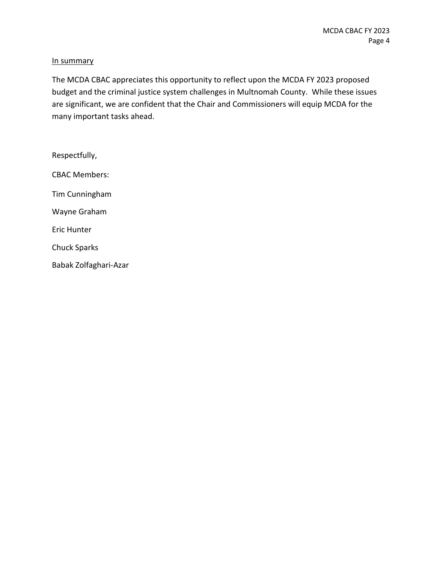#### In summary

The MCDA CBAC appreciates this opportunity to reflect upon the MCDA FY 2023 proposed budget and the criminal justice system challenges in Multnomah County. While these issues are significant, we are confident that the Chair and Commissioners will equip MCDA for the many important tasks ahead.

Respectfully, CBAC Members: Tim Cunningham Wayne Graham Eric Hunter Chuck Sparks Babak Zolfaghari-Azar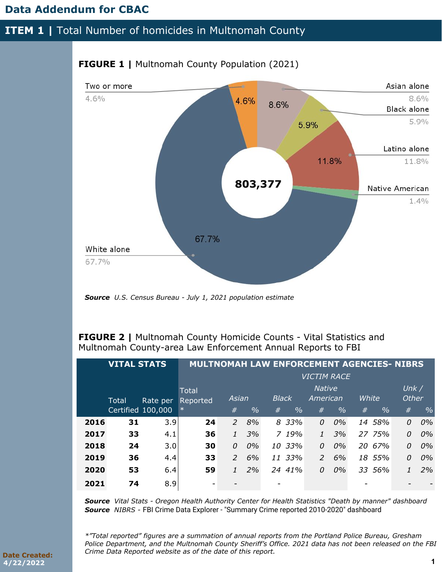## **Data Addendum for CBAC**

### **ITEM 1 | Total Number of homicides in Multnomah County**



### **FIGURE 1 | Multnomah County Population (2021)**

*Source U.S. Census Bureau - July 1, 2021 population estimate* 

**FIGURE 2 |** Multnomah County Homicide Counts - Vital Statistics and Multnomah County-area Law Enforcement Annual Reports to FBI

| <b>VITAL STATS</b> |              | <b>MULTNOMAH LAW ENFORCEMENT AGENCIES- NIBRS</b> |          |                |               |              |               |                    |       |       |               |              |               |
|--------------------|--------------|--------------------------------------------------|----------|----------------|---------------|--------------|---------------|--------------------|-------|-------|---------------|--------------|---------------|
|                    |              |                                                  |          |                |               |              |               | <b>VICTIM RACE</b> |       |       |               |              |               |
|                    |              |                                                  | Total    |                |               |              |               | Native             |       |       |               | Unk/         |               |
|                    | <b>Total</b> | Rate per                                         | Reported | Asian          |               | <b>Black</b> |               | American           |       | White |               | <b>Other</b> |               |
|                    |              | Certified 100,000                                | $\ast$   | #              | $\frac{0}{0}$ | #            | $\frac{0}{0}$ | #                  | $\%$  | #     | $\frac{0}{0}$ | #            | $\frac{0}{0}$ |
| 2016               | 31           | 3.9                                              | 24       | $\overline{2}$ | 8%            |              | 8 33%         | 0                  | 0%    |       | 14 58%        | 0            | 0%            |
| 2017               | 33           | 4.1                                              | 36       | $\mathcal{I}$  | 3%            |              | 7.19%         |                    | 3%    |       | 27 75%        | 0            | 0%            |
| 2018               | 24           | 3.0                                              | 30       | $\Omega$       | 0%            |              | 10 33%        | 0                  | $0\%$ |       | 20 67%        | 0            | 0%            |
| 2019               | 36           | 4.4                                              | 33       | $\mathcal{P}$  | 6%            |              | 11 33%        | $\mathcal{P}$      | 6%    |       | 18 55%        | 0            | 0%            |
| 2020               | 53           | 6.4                                              | 59       |                | 2%            |              | 24 41%        | 0                  | 0%    |       | 33 56%        |              | 2%            |
| 2021               | 74           | 8.9                                              | -        |                |               |              |               |                    |       |       |               |              |               |

*Source Vital Stats - Oregon Health Authority Center for Health Statistics "Death by manner" dashboard Source NIBRS -* FBI Crime Data Explorer - "Summary Crime reported 2010-2020" dashboard

*\*"Total reported" figures are a summation of annual reports from the Portland Police Bureau, Gresham Police Department, and the Multnomah County Sheriff's Office. 2021 data has not been released on the FBI Crime Data Reported website as of the date of this report.*

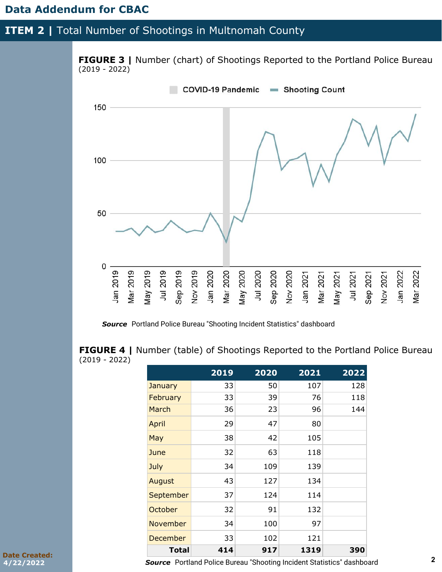### **Data Addendum for CBAC**

### **ITEM 2 | Total Number of Shootings in Multnomah County**



*Source* Portland Police Bureau "Shooting Incident Statistics" dashboard

**FIGURE 4** | Number (table) of Shootings Reported to the Portland Police Bureau (2019 - 2022)

|                 | 2019 | 2020 | 2021 | 2022 |
|-----------------|------|------|------|------|
| January         | 33   | 50   | 107  | 128  |
| February        | 33   | 39   | 76   | 118  |
| March           | 36   | 23   | 96   | 144  |
| April           | 29   | 47   | 80   |      |
| May             | 38   | 42   | 105  |      |
| June            | 32   | 63   | 118  |      |
| July            | 34   | 109  | 139  |      |
| August          | 43   | 127  | 134  |      |
| September       | 37   | 124  | 114  |      |
| October         | 32   | 91   | 132  |      |
| <b>November</b> | 34   | 100  | 97   |      |
| December        | 33   | 102  | 121  |      |
| <b>Total</b>    | 414  | 917  | 1319 | 390  |

**Date Created: 4/22/2022**

*Source* Portland Police Bureau "Shooting Incident Statistics" dashboard **2**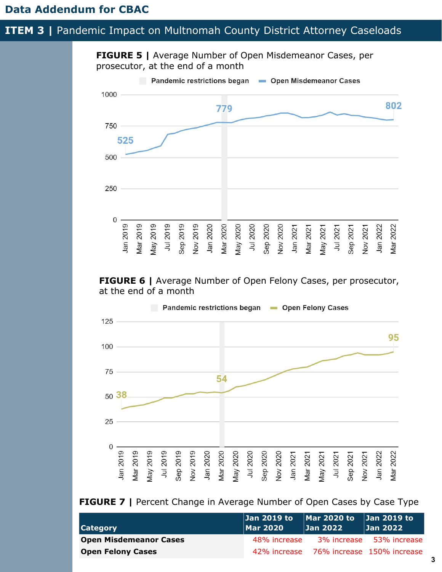### **ITEM 3 | Pandemic Impact on Multnomah County District Attorney Caseloads**



**FIGURE 6** | Average Number of Open Felony Cases, per prosecutor, at the end of a month



### **FIGURE 7** | Percent Change in Average Number of Open Cases by Case Type

|                               | $  $ Jan 2019 to $  $ Mar 2020 to $  $ Jan 2019 to $  $ |          |                                         |
|-------------------------------|---------------------------------------------------------|----------|-----------------------------------------|
| <b>Category</b>               | Mar 2020                                                | Jan 2022 | Jan 2022                                |
| <b>Open Misdemeanor Cases</b> |                                                         |          | 48% increase 3% increase 53% increase   |
| <b>Open Felony Cases</b>      |                                                         |          | 42% increase 76% increase 150% increase |

**3**